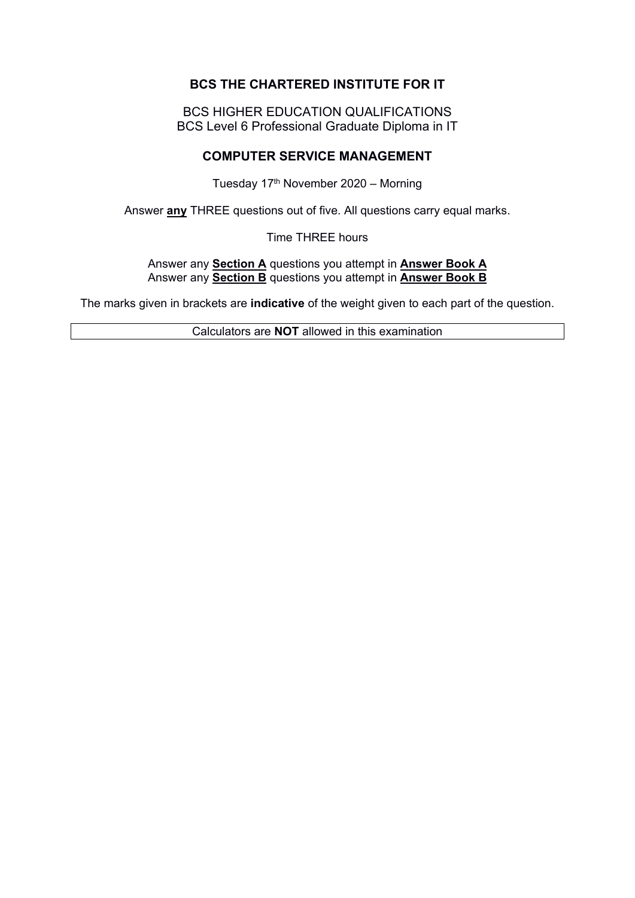# **BCS THE CHARTERED INSTITUTE FOR IT**

BCS HIGHER EDUCATION QUALIFICATIONS BCS Level 6 Professional Graduate Diploma in IT

### **COMPUTER SERVICE MANAGEMENT**

Tuesday 17<sup>th</sup> November 2020 – Morning

Answer **any** THREE questions out of five. All questions carry equal marks.

Time THREE hours

Answer any **Section A** questions you attempt in **Answer Book A** Answer any **Section B** questions you attempt in **Answer Book B**

The marks given in brackets are **indicative** of the weight given to each part of the question.

Calculators are **NOT** allowed in this examination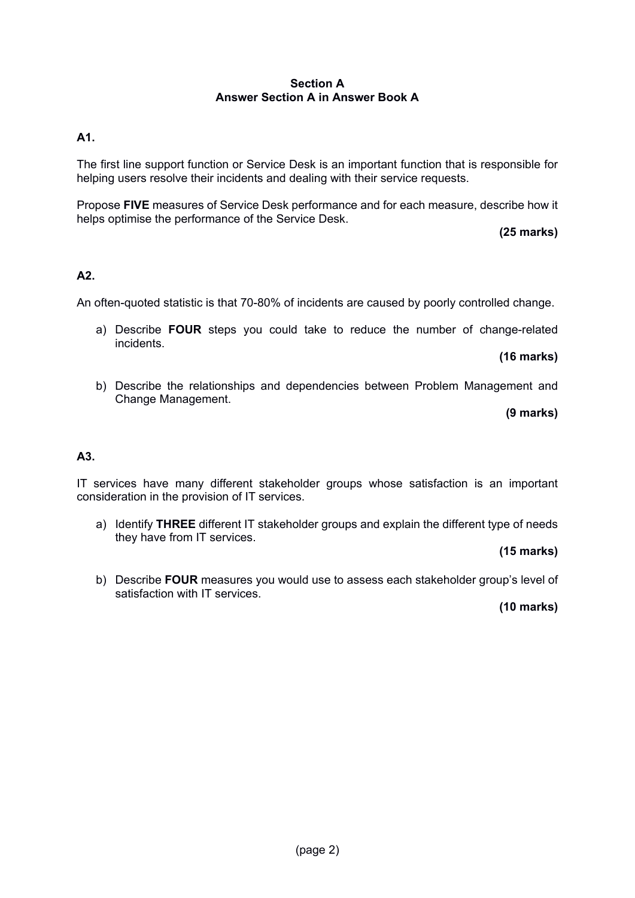#### **Section A Answer Section A in Answer Book A**

## **A1.**

The first line support function or Service Desk is an important function that is responsible for helping users resolve their incidents and dealing with their service requests.

Propose **FIVE** measures of Service Desk performance and for each measure, describe how it helps optimise the performance of the Service Desk.

**(25 marks)**

#### **A2.**

An often-quoted statistic is that 70-80% of incidents are caused by poorly controlled change.

a) Describe **FOUR** steps you could take to reduce the number of change-related incidents.

**(16 marks)**

b) Describe the relationships and dependencies between Problem Management and Change Management.

**(9 marks)**

#### **A3.**

IT services have many different stakeholder groups whose satisfaction is an important consideration in the provision of IT services.

a) Identify **THREE** different IT stakeholder groups and explain the different type of needs they have from IT services.

**(15 marks)**

b) Describe **FOUR** measures you would use to assess each stakeholder group's level of satisfaction with IT services.

**(10 marks)**